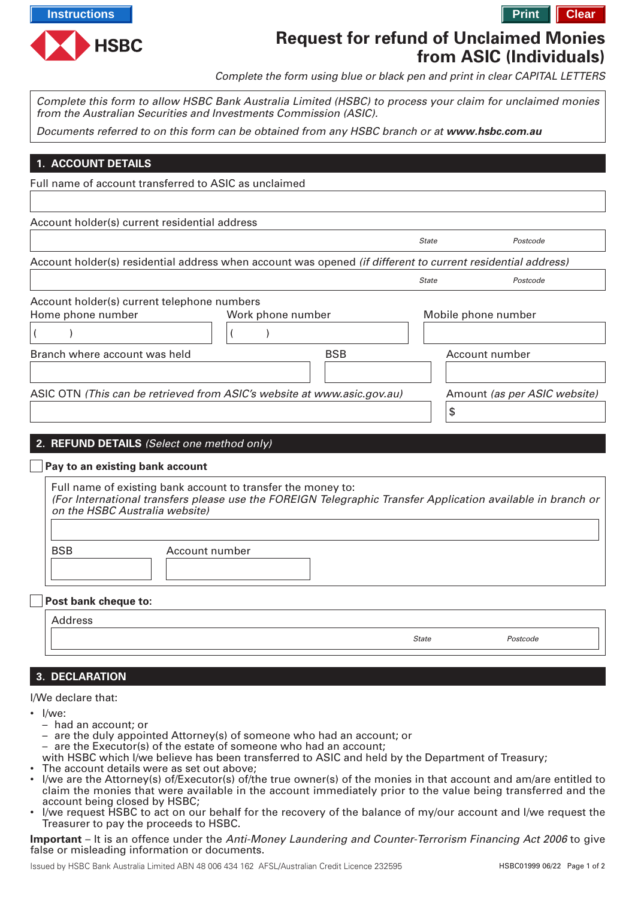

# **Request for refund of Unclaimed Monies from ASIC (Individuals)**

*Complete the form using blue or black pen and print in clear CAPITAL LETTERS*

**1. ACCOUNT DETAILS 2. REFUND DETAILS** *(Select one method only) Complete this form to allow HSBC Bank Australia Limited (HSBC) to process your claim for unclaimed monies from the Australian Securities and Investments Commission (ASIC). Documents referred to on this form can be obtained from any HSBC branch or at* **www.hsbc.com.au** *Full name of account transferred to ASIC as unclaimed Work phone number Mobile phone number ( ) Home phone number ( ) Account holder(s) current telephone numbers Branch where account was held BSB Account number* **Pay to an existing bank account** *Full name of existing bank account to transfer the money to: (For International transfers please use the FOREIGN Telegraphic Transfer Application available in branch or on the HSBC Australia website) BSB Account number ASIC OTN (This can be retrieved from ASIC's website at www.asic.gov.au) Amount (as per ASIC website) \$ Account holder(s) residential address when account was opened (if different to current residential address) State Postcode Account holder(s) current residential address State Postcode* **Post bank cheque to:** *Address State Postcode*

## **3. DECLARATION**

#### *I/We declare that:*

- *I/we:*
	- *had an account; or*
	- *are the duly appointed Attorney(s) of someone who had an account; or*
	- *are the Executor(s) of the estate of someone who had an account;*
- *with HSBC which I/we believe has been transferred to ASIC and held by the Department of Treasury;*
- *The account details were as set out above;*
- *I/we are the Attorney(s) of/Executor(s) of/the true owner(s) of the monies in that account and am/are entitled to claim the monies that were available in the account immediately prior to the value being transferred and the account being closed by HSBC;*
- *I/we request HSBC to act on our behalf for the recovery of the balance of my/our account and I/we request the Treasurer to pay the proceeds to HSBC.*

**Important** *– It is an offence under the Anti-Money Laundering and Counter-Terrorism Financing Act 2006 to give false or misleading information or documents.*